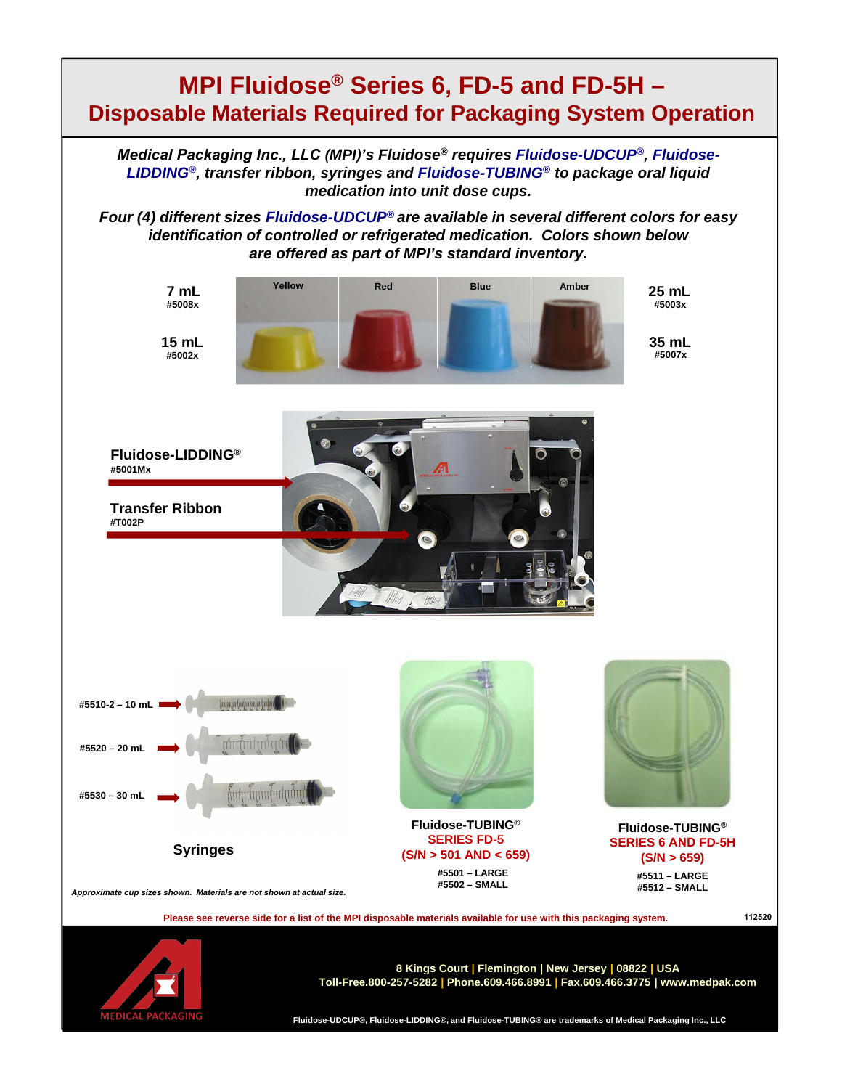